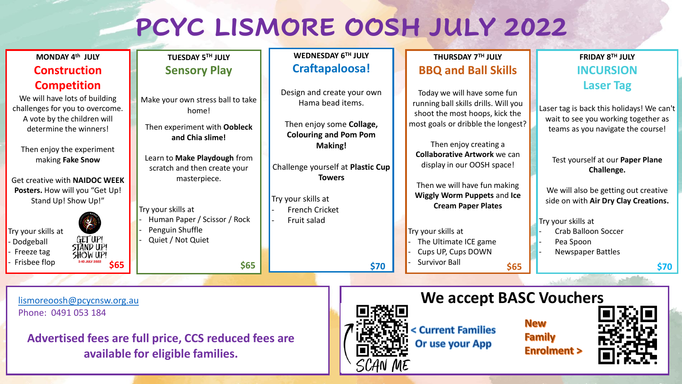## **PCYC LISMORE OOSH JULY 2022**

| MONDAY 4th JULY                                                                                                                                                              | TUESDAY 5TH JULY                                                                                                                                                                                                                                                            | WEDNESDAY 6TH JULY                                                                                                    | THURSDAY 7TH JULY                                                                                                                                                                                                                                                                                                                                                                           | FRIDAY 8TH JULY                                                                                                                                                                          |
|------------------------------------------------------------------------------------------------------------------------------------------------------------------------------|-----------------------------------------------------------------------------------------------------------------------------------------------------------------------------------------------------------------------------------------------------------------------------|-----------------------------------------------------------------------------------------------------------------------|---------------------------------------------------------------------------------------------------------------------------------------------------------------------------------------------------------------------------------------------------------------------------------------------------------------------------------------------------------------------------------------------|------------------------------------------------------------------------------------------------------------------------------------------------------------------------------------------|
| <b>Construction</b>                                                                                                                                                          | <b>Sensory Play</b>                                                                                                                                                                                                                                                         | Craftapaloosa!                                                                                                        | <b>BBQ and Ball Skills</b>                                                                                                                                                                                                                                                                                                                                                                  | <b>INCURSION</b>                                                                                                                                                                         |
| <b>Competition</b><br>We will have lots of building<br>challenges for you to overcome.<br>A vote by the children will<br>determine the winners!<br>Then enjoy the experiment | Make your own stress ball to take<br>home!<br>Then experiment with Oobleck<br>and Chia slime!<br>Learn to Make Playdough from<br>scratch and then create your<br>masterpiece.<br>Try your skills at<br>Human Paper / Scissor / Rock<br>Penguin Shuffle<br>Quiet / Not Quiet | Design and create your own<br>Hama bead items.<br>Then enjoy some Collage,<br><b>Colouring and Pom Pom</b><br>Making! | Today we will have some fun<br>running ball skills drills. Will you<br>shoot the most hoops, kick the<br>most goals or dribble the longest?<br>Then enjoy creating a<br><b>Collaborative Artwork we can</b><br>display in our OOSH space!<br>Then we will have fun making<br><b>Wiggly Worm Puppets and Ice</b><br><b>Cream Paper Plates</b><br>Try your skills at<br>The Ultimate ICE game | <b>Laser Tag</b><br>Laser tag is back this holidays! We can't<br>wait to see you working together as<br>teams as you navigate the course!                                                |
| making Fake Snow<br>Get creative with NAIDOC WEEK<br>Posters. How will you "Get Up!<br>Stand Up! Show Up!"<br>Try your skills at<br>- Dodgeball                              |                                                                                                                                                                                                                                                                             | Challenge yourself at Plastic Cup<br><b>Towers</b><br>Try your skills at<br><b>French Cricket</b><br>Fruit salad      |                                                                                                                                                                                                                                                                                                                                                                                             | Test yourself at our Paper Plane<br>Challenge.<br>We will also be getting out creative<br>side on with Air Dry Clay Creations.<br>Try your skills at<br>Crab Balloon Soccer<br>Pea Spoon |
| GET UP!<br>STAND UP!<br>- Freeze tag<br>SHOW UP!<br>- Frisbee flop<br>\$65                                                                                                   | \$65                                                                                                                                                                                                                                                                        | \$70                                                                                                                  | Cups UP, Cups DOWN<br><b>Survivor Ball</b><br>\$65                                                                                                                                                                                                                                                                                                                                          | <b>Newspaper Battles</b><br>\$70                                                                                                                                                         |
| lismoreoosh@pcycnsw.org.au<br>Phone: 0491 053 184                                                                                                                            |                                                                                                                                                                                                                                                                             |                                                                                                                       | We accept BASC Vouchers                                                                                                                                                                                                                                                                                                                                                                     | <b>N</b> ow                                                                                                                                                                              |

**Advertised fees are full price, CCS reduced fees are available for eligible families.** 



**INEW Family Enrolment >**